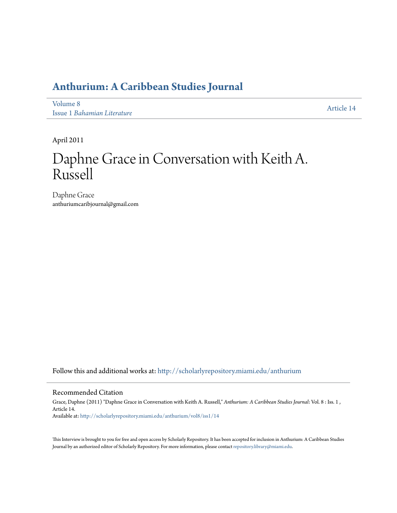# **[Anthurium: A Caribbean Studies Journal](http://scholarlyrepository.miami.edu/anthurium?utm_source=scholarlyrepository.miami.edu%2Fanthurium%2Fvol8%2Fiss1%2F14&utm_medium=PDF&utm_campaign=PDFCoverPages)**

[Volume 8](http://scholarlyrepository.miami.edu/anthurium/vol8?utm_source=scholarlyrepository.miami.edu%2Fanthurium%2Fvol8%2Fiss1%2F14&utm_medium=PDF&utm_campaign=PDFCoverPages) Issue 1 *[Bahamian Literature](http://scholarlyrepository.miami.edu/anthurium/vol8/iss1?utm_source=scholarlyrepository.miami.edu%2Fanthurium%2Fvol8%2Fiss1%2F14&utm_medium=PDF&utm_campaign=PDFCoverPages)*

[Article 14](http://scholarlyrepository.miami.edu/anthurium/vol8/iss1/14?utm_source=scholarlyrepository.miami.edu%2Fanthurium%2Fvol8%2Fiss1%2F14&utm_medium=PDF&utm_campaign=PDFCoverPages)

April 2011

# Daphne Grace in Conversation with Keith A. Russell

Daphne Grace anthuriumcaribjournal@gmail.com

Follow this and additional works at: [http://scholarlyrepository.miami.edu/anthurium](http://scholarlyrepository.miami.edu/anthurium?utm_source=scholarlyrepository.miami.edu%2Fanthurium%2Fvol8%2Fiss1%2F14&utm_medium=PDF&utm_campaign=PDFCoverPages)

## Recommended Citation

Grace, Daphne (2011) "Daphne Grace in Conversation with Keith A. Russell," *Anthurium: A Caribbean Studies Journal*: Vol. 8 : Iss. 1 , Article 14. Available at: [http://scholarlyrepository.miami.edu/anthurium/vol8/iss1/14](http://scholarlyrepository.miami.edu/anthurium/vol8/iss1/14?utm_source=scholarlyrepository.miami.edu%2Fanthurium%2Fvol8%2Fiss1%2F14&utm_medium=PDF&utm_campaign=PDFCoverPages)

This Interview is brought to you for free and open access by Scholarly Repository. It has been accepted for inclusion in Anthurium: A Caribbean Studies Journal by an authorized editor of Scholarly Repository. For more information, please contact [repository.library@miami.edu](mailto:repository.library@miami.edu).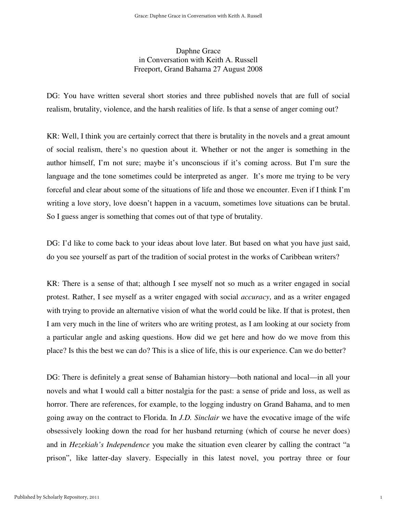# Daphne Grace in Conversation with Keith A. Russell Freeport, Grand Bahama 27 August 2008

DG: You have written several short stories and three published novels that are full of social realism, brutality, violence, and the harsh realities of life. Is that a sense of anger coming out?

KR: Well, I think you are certainly correct that there is brutality in the novels and a great amount of social realism, there's no question about it. Whether or not the anger is something in the author himself, I'm not sure; maybe it's unconscious if it's coming across. But I'm sure the language and the tone sometimes could be interpreted as anger. It's more me trying to be very forceful and clear about some of the situations of life and those we encounter. Even if I think I'm writing a love story, love doesn't happen in a vacuum, sometimes love situations can be brutal. So I guess anger is something that comes out of that type of brutality.

DG: I'd like to come back to your ideas about love later. But based on what you have just said, do you see yourself as part of the tradition of social protest in the works of Caribbean writers?

KR: There is a sense of that; although I see myself not so much as a writer engaged in social protest. Rather, I see myself as a writer engaged with social *accuracy*, and as a writer engaged with trying to provide an alternative vision of what the world could be like. If that is protest, then I am very much in the line of writers who are writing protest, as I am looking at our society from a particular angle and asking questions. How did we get here and how do we move from this place? Is this the best we can do? This is a slice of life, this is our experience. Can we do better?

DG: There is definitely a great sense of Bahamian history—both national and local—in all your novels and what I would call a bitter nostalgia for the past: a sense of pride and loss, as well as horror. There are references, for example, to the logging industry on Grand Bahama, and to men going away on the contract to Florida. In *J.D. Sinclair* we have the evocative image of the wife obsessively looking down the road for her husband returning (which of course he never does) and in *Hezekiah's Independence* you make the situation even clearer by calling the contract "a prison", like latter-day slavery. Especially in this latest novel, you portray three or four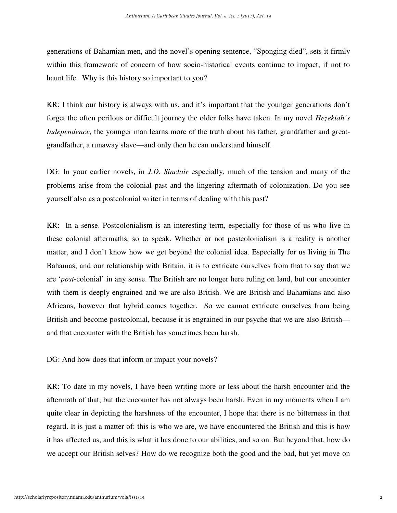generations of Bahamian men, and the novel's opening sentence, "Sponging died", sets it firmly within this framework of concern of how socio-historical events continue to impact, if not to haunt life. Why is this history so important to you?

KR: I think our history is always with us, and it's important that the younger generations don't forget the often perilous or difficult journey the older folks have taken. In my novel *Hezekiah's Independence,* the younger man learns more of the truth about his father, grandfather and greatgrandfather, a runaway slave—and only then he can understand himself.

DG: In your earlier novels, in *J.D. Sinclair* especially, much of the tension and many of the problems arise from the colonial past and the lingering aftermath of colonization. Do you see yourself also as a postcolonial writer in terms of dealing with this past?

KR: In a sense. Postcolonialism is an interesting term, especially for those of us who live in these colonial aftermaths, so to speak. Whether or not postcolonialism is a reality is another matter, and I don't know how we get beyond the colonial idea. Especially for us living in The Bahamas, and our relationship with Britain, it is to extricate ourselves from that to say that we are '*post*-colonial' in any sense. The British are no longer here ruling on land, but our encounter with them is deeply engrained and we are also British. We are British and Bahamians and also Africans, however that hybrid comes together. So we cannot extricate ourselves from being British and become postcolonial, because it is engrained in our psyche that we are also British and that encounter with the British has sometimes been harsh.

DG: And how does that inform or impact your novels?

KR: To date in my novels, I have been writing more or less about the harsh encounter and the aftermath of that, but the encounter has not always been harsh. Even in my moments when I am quite clear in depicting the harshness of the encounter, I hope that there is no bitterness in that regard. It is just a matter of: this is who we are, we have encountered the British and this is how it has affected us, and this is what it has done to our abilities, and so on. But beyond that, how do we accept our British selves? How do we recognize both the good and the bad, but yet move on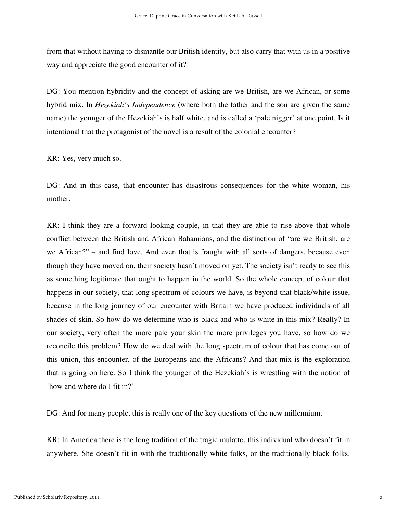from that without having to dismantle our British identity, but also carry that with us in a positive way and appreciate the good encounter of it?

DG: You mention hybridity and the concept of asking are we British, are we African, or some hybrid mix. In *Hezekiah's Independence* (where both the father and the son are given the same name) the younger of the Hezekiah's is half white, and is called a 'pale nigger' at one point. Is it intentional that the protagonist of the novel is a result of the colonial encounter?

KR: Yes, very much so.

DG: And in this case, that encounter has disastrous consequences for the white woman, his mother.

KR: I think they are a forward looking couple, in that they are able to rise above that whole conflict between the British and African Bahamians, and the distinction of "are we British, are we African?" – and find love. And even that is fraught with all sorts of dangers, because even though they have moved on, their society hasn't moved on yet. The society isn't ready to see this as something legitimate that ought to happen in the world. So the whole concept of colour that happens in our society, that long spectrum of colours we have, is beyond that black/white issue, because in the long journey of our encounter with Britain we have produced individuals of all shades of skin. So how do we determine who is black and who is white in this mix? Really? In our society, very often the more pale your skin the more privileges you have, so how do we reconcile this problem? How do we deal with the long spectrum of colour that has come out of this union, this encounter, of the Europeans and the Africans? And that mix is the exploration that is going on here. So I think the younger of the Hezekiah's is wrestling with the notion of 'how and where do I fit in?'

DG: And for many people, this is really one of the key questions of the new millennium.

KR: In America there is the long tradition of the tragic mulatto, this individual who doesn't fit in anywhere. She doesn't fit in with the traditionally white folks, or the traditionally black folks.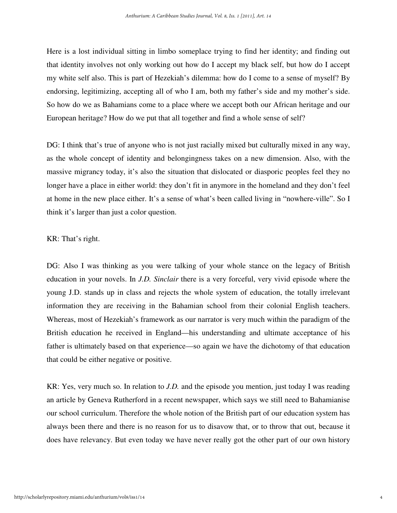Here is a lost individual sitting in limbo someplace trying to find her identity; and finding out that identity involves not only working out how do I accept my black self, but how do I accept my white self also. This is part of Hezekiah's dilemma: how do I come to a sense of myself? By endorsing, legitimizing, accepting all of who I am, both my father's side and my mother's side. So how do we as Bahamians come to a place where we accept both our African heritage and our European heritage? How do we put that all together and find a whole sense of self?

DG: I think that's true of anyone who is not just racially mixed but culturally mixed in any way, as the whole concept of identity and belongingness takes on a new dimension. Also, with the massive migrancy today, it's also the situation that dislocated or diasporic peoples feel they no longer have a place in either world: they don't fit in anymore in the homeland and they don't feel at home in the new place either. It's a sense of what's been called living in "nowhere-ville". So I think it's larger than just a color question.

# KR: That's right.

DG: Also I was thinking as you were talking of your whole stance on the legacy of British education in your novels. In *J.D. Sinclair* there is a very forceful, very vivid episode where the young J.D. stands up in class and rejects the whole system of education, the totally irrelevant information they are receiving in the Bahamian school from their colonial English teachers. Whereas, most of Hezekiah's framework as our narrator is very much within the paradigm of the British education he received in England—his understanding and ultimate acceptance of his father is ultimately based on that experience—so again we have the dichotomy of that education that could be either negative or positive.

KR: Yes, very much so. In relation to *J.D.* and the episode you mention, just today I was reading an article by Geneva Rutherford in a recent newspaper, which says we still need to Bahamianise our school curriculum. Therefore the whole notion of the British part of our education system has always been there and there is no reason for us to disavow that, or to throw that out, because it does have relevancy. But even today we have never really got the other part of our own history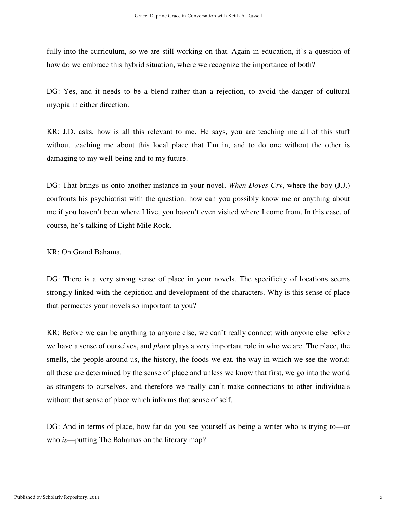fully into the curriculum, so we are still working on that. Again in education, it's a question of how do we embrace this hybrid situation, where we recognize the importance of both?

DG: Yes, and it needs to be a blend rather than a rejection, to avoid the danger of cultural myopia in either direction.

KR: J.D. asks, how is all this relevant to me. He says, you are teaching me all of this stuff without teaching me about this local place that I'm in, and to do one without the other is damaging to my well-being and to my future.

DG: That brings us onto another instance in your novel, *When Doves Cry*, where the boy (J.J.) confronts his psychiatrist with the question: how can you possibly know me or anything about me if you haven't been where I live, you haven't even visited where I come from. In this case, of course, he's talking of Eight Mile Rock.

KR: On Grand Bahama.

DG: There is a very strong sense of place in your novels. The specificity of locations seems strongly linked with the depiction and development of the characters. Why is this sense of place that permeates your novels so important to you?

KR: Before we can be anything to anyone else, we can't really connect with anyone else before we have a sense of ourselves, and *place* plays a very important role in who we are. The place, the smells, the people around us, the history, the foods we eat, the way in which we see the world: all these are determined by the sense of place and unless we know that first, we go into the world as strangers to ourselves, and therefore we really can't make connections to other individuals without that sense of place which informs that sense of self.

DG: And in terms of place, how far do you see yourself as being a writer who is trying to—or who *is*—putting The Bahamas on the literary map?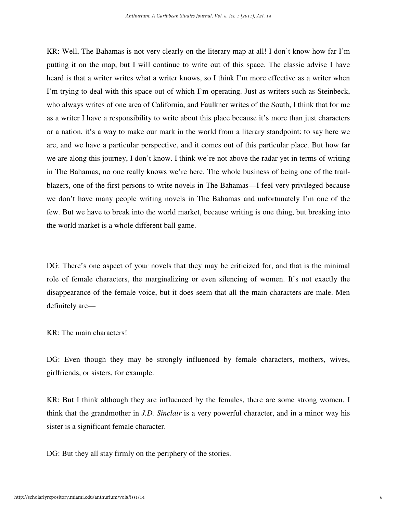KR: Well, The Bahamas is not very clearly on the literary map at all! I don't know how far I'm putting it on the map, but I will continue to write out of this space. The classic advise I have heard is that a writer writes what a writer knows, so I think I'm more effective as a writer when I'm trying to deal with this space out of which I'm operating. Just as writers such as Steinbeck, who always writes of one area of California, and Faulkner writes of the South, I think that for me as a writer I have a responsibility to write about this place because it's more than just characters or a nation, it's a way to make our mark in the world from a literary standpoint: to say here we are, and we have a particular perspective, and it comes out of this particular place. But how far we are along this journey, I don't know. I think we're not above the radar yet in terms of writing in The Bahamas; no one really knows we're here. The whole business of being one of the trailblazers, one of the first persons to write novels in The Bahamas—I feel very privileged because we don't have many people writing novels in The Bahamas and unfortunately I'm one of the few. But we have to break into the world market, because writing is one thing, but breaking into the world market is a whole different ball game.

DG: There's one aspect of your novels that they may be criticized for, and that is the minimal role of female characters, the marginalizing or even silencing of women. It's not exactly the disappearance of the female voice, but it does seem that all the main characters are male. Men definitely are—

KR: The main characters!

DG: Even though they may be strongly influenced by female characters, mothers, wives, girlfriends, or sisters, for example.

KR: But I think although they are influenced by the females, there are some strong women. I think that the grandmother in *J.D. Sinclair* is a very powerful character, and in a minor way his sister is a significant female character.

DG: But they all stay firmly on the periphery of the stories.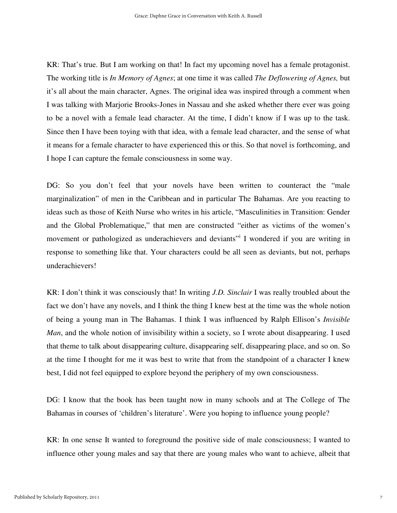KR: That's true. But I am working on that! In fact my upcoming novel has a female protagonist. The working title is *In Memory of Agnes*; at one time it was called *The Deflowering of Agnes,* but it's all about the main character, Agnes. The original idea was inspired through a comment when I was talking with Marjorie Brooks-Jones in Nassau and she asked whether there ever was going to be a novel with a female lead character. At the time, I didn't know if I was up to the task. Since then I have been toying with that idea, with a female lead character, and the sense of what it means for a female character to have experienced this or this. So that novel is forthcoming, and I hope I can capture the female consciousness in some way.

DG: So you don't feel that your novels have been written to counteract the "male" marginalization" of men in the Caribbean and in particular The Bahamas. Are you reacting to ideas such as those of Keith Nurse who writes in his article, "Masculinities in Transition: Gender and the Global Problematique," that men are constructed "either as victims of the women's movement or pathologized as underachievers and deviants" I wondered if you are writing in response to something like that. Your characters could be all seen as deviants, but not, perhaps underachievers!

KR: I don't think it was consciously that! In writing *J.D. Sinclair* I was really troubled about the fact we don't have any novels, and I think the thing I knew best at the time was the whole notion of being a young man in The Bahamas. I think I was influenced by Ralph Ellison's *Invisible Man*, and the whole notion of invisibility within a society, so I wrote about disappearing. I used that theme to talk about disappearing culture, disappearing self, disappearing place, and so on. So at the time I thought for me it was best to write that from the standpoint of a character I knew best, I did not feel equipped to explore beyond the periphery of my own consciousness.

DG: I know that the book has been taught now in many schools and at The College of The Bahamas in courses of 'children's literature'. Were you hoping to influence young people?

KR: In one sense It wanted to foreground the positive side of male consciousness; I wanted to influence other young males and say that there are young males who want to achieve, albeit that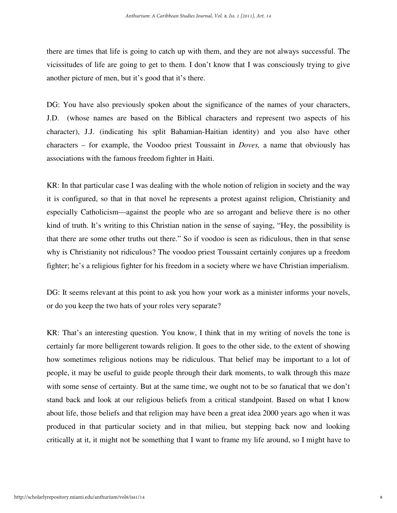there are times that life is going to catch up with them, and they are not always successful. The vicissitudes of life are going to get to them. I don't know that I was consciously trying to give another picture of men, but it's good that it's there.

DG: You have also previously spoken about the significance of the names of your characters, J.D. (whose names are based on the Biblical characters and represent two aspects of his character), J.J. (indicating his split Bahamian-Haitian identity) and you also have other characters – for example, the Voodoo priest Toussaint in *Doves,* a name that obviously has associations with the famous freedom fighter in Haiti.

KR: In that particular case I was dealing with the whole notion of religion in society and the way it is configured, so that in that novel he represents a protest against religion, Christianity and especially Catholicism—against the people who are so arrogant and believe there is no other kind of truth. It's writing to this Christian nation in the sense of saying, "Hey, the possibility is that there are some other truths out there." So if voodoo is seen as ridiculous, then in that sense why is Christianity not ridiculous? The voodoo priest Toussaint certainly conjures up a freedom fighter; he's a religious fighter for his freedom in a society where we have Christian imperialism.

DG: It seems relevant at this point to ask you how your work as a minister informs your novels, or do you keep the two hats of your roles very separate?

KR: That's an interesting question. You know, I think that in my writing of novels the tone is certainly far more belligerent towards religion. It goes to the other side, to the extent of showing how sometimes religious notions may be ridiculous. That belief may be important to a lot of people, it may be useful to guide people through their dark moments, to walk through this maze with some sense of certainty. But at the same time, we ought not to be so fanatical that we don't stand back and look at our religious beliefs from a critical standpoint. Based on what I know about life, those beliefs and that religion may have been a great idea 2000 years ago when it was produced in that particular society and in that milieu, but stepping back now and looking critically at it, it might not be something that I want to frame my life around, so I might have to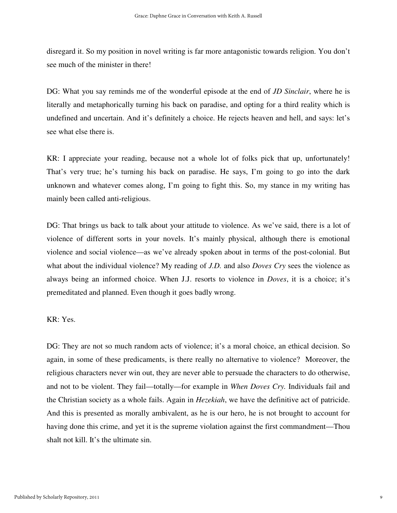disregard it. So my position in novel writing is far more antagonistic towards religion. You don't see much of the minister in there!

DG: What you say reminds me of the wonderful episode at the end of *JD Sinclair*, where he is literally and metaphorically turning his back on paradise, and opting for a third reality which is undefined and uncertain. And it's definitely a choice. He rejects heaven and hell, and says: let's see what else there is.

KR: I appreciate your reading, because not a whole lot of folks pick that up, unfortunately! That's very true; he's turning his back on paradise. He says, I'm going to go into the dark unknown and whatever comes along, I'm going to fight this. So, my stance in my writing has mainly been called anti-religious.

DG: That brings us back to talk about your attitude to violence. As we've said, there is a lot of violence of different sorts in your novels. It's mainly physical, although there is emotional violence and social violence—as we've already spoken about in terms of the post-colonial. But what about the individual violence? My reading of *J.D.* and also *Doves Cry* sees the violence as always being an informed choice. When J.J. resorts to violence in *Doves*, it is a choice; it's premeditated and planned. Even though it goes badly wrong.

## KR: Yes.

DG: They are not so much random acts of violence; it's a moral choice, an ethical decision. So again, in some of these predicaments, is there really no alternative to violence? Moreover, the religious characters never win out, they are never able to persuade the characters to do otherwise, and not to be violent. They fail—totally—for example in *When Doves Cry.* Individuals fail and the Christian society as a whole fails. Again in *Hezekiah*, we have the definitive act of patricide. And this is presented as morally ambivalent, as he is our hero, he is not brought to account for having done this crime, and yet it is the supreme violation against the first commandment—Thou shalt not kill. It's the ultimate sin.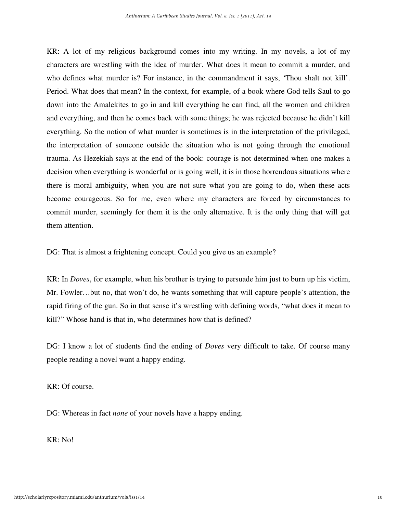KR: A lot of my religious background comes into my writing. In my novels, a lot of my characters are wrestling with the idea of murder. What does it mean to commit a murder, and who defines what murder is? For instance, in the commandment it says, 'Thou shalt not kill'. Period. What does that mean? In the context, for example, of a book where God tells Saul to go down into the Amalekites to go in and kill everything he can find, all the women and children and everything, and then he comes back with some things; he was rejected because he didn't kill everything. So the notion of what murder is sometimes is in the interpretation of the privileged, the interpretation of someone outside the situation who is not going through the emotional trauma. As Hezekiah says at the end of the book: courage is not determined when one makes a decision when everything is wonderful or is going well, it is in those horrendous situations where there is moral ambiguity, when you are not sure what you are going to do, when these acts become courageous. So for me, even where my characters are forced by circumstances to commit murder, seemingly for them it is the only alternative. It is the only thing that will get them attention.

DG: That is almost a frightening concept. Could you give us an example?

KR: In *Doves*, for example, when his brother is trying to persuade him just to burn up his victim, Mr. Fowler…but no, that won't do, he wants something that will capture people's attention, the rapid firing of the gun. So in that sense it's wrestling with defining words, "what does it mean to kill?" Whose hand is that in, who determines how that is defined?

DG: I know a lot of students find the ending of *Doves* very difficult to take. Of course many people reading a novel want a happy ending.

KR: Of course.

DG: Whereas in fact *none* of your novels have a happy ending.

KR: No!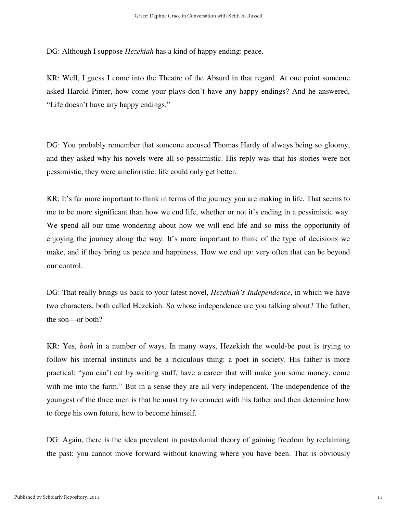DG: Although I suppose *Hezekiah* has a kind of happy ending: peace.

KR: Well, I guess I come into the Theatre of the Absurd in that regard. At one point someone asked Harold Pinter, how come your plays don't have any happy endings? And he answered, "Life doesn't have any happy endings."

DG: You probably remember that someone accused Thomas Hardy of always being so gloomy, and they asked why his novels were all so pessimistic. His reply was that his stories were not pessimistic, they were amelioristic: life could only get better.

KR: It's far more important to think in terms of the journey you are making in life. That seems to me to be more significant than how we end life, whether or not it's ending in a pessimistic way. We spend all our time wondering about how we will end life and so miss the opportunity of enjoying the journey along the way. It's more important to think of the type of decisions we make, and if they bring us peace and happiness. How we end up: very often that can be beyond our control.

DG: That really brings us back to your latest novel, *Hezekiah's Independence*, in which we have two characters, both called Hezekiah. So whose independence are you talking about? The father, the son—or both?

KR: Yes, *both* in a number of ways. In many ways, Hezekiah the would-be poet is trying to follow his internal instincts and be a ridiculous thing: a poet in society. His father is more practical: "you can't eat by writing stuff, have a career that will make you some money, come with me into the farm." But in a sense they are all very independent. The independence of the youngest of the three men is that he must try to connect with his father and then determine how to forge his own future, how to become himself.

DG: Again, there is the idea prevalent in postcolonial theory of gaining freedom by reclaiming the past: you cannot move forward without knowing where you have been. That is obviously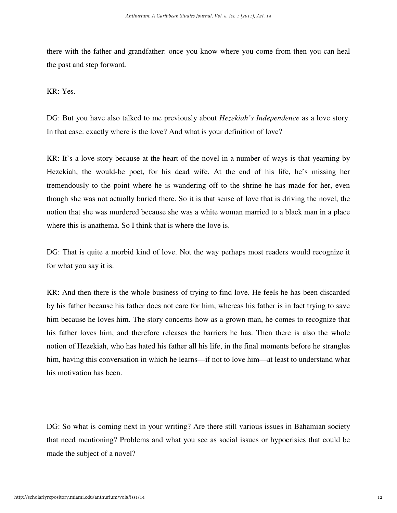there with the father and grandfather: once you know where you come from then you can heal the past and step forward.

KR: Yes.

DG: But you have also talked to me previously about *Hezekiah's Independence* as a love story. In that case: exactly where is the love? And what is your definition of love?

KR: It's a love story because at the heart of the novel in a number of ways is that yearning by Hezekiah, the would-be poet, for his dead wife. At the end of his life, he's missing her tremendously to the point where he is wandering off to the shrine he has made for her, even though she was not actually buried there. So it is that sense of love that is driving the novel, the notion that she was murdered because she was a white woman married to a black man in a place where this is anathema. So I think that is where the love is.

DG: That is quite a morbid kind of love. Not the way perhaps most readers would recognize it for what you say it is.

KR: And then there is the whole business of trying to find love. He feels he has been discarded by his father because his father does not care for him, whereas his father is in fact trying to save him because he loves him. The story concerns how as a grown man, he comes to recognize that his father loves him, and therefore releases the barriers he has. Then there is also the whole notion of Hezekiah, who has hated his father all his life, in the final moments before he strangles him, having this conversation in which he learns—if not to love him—at least to understand what his motivation has been.

DG: So what is coming next in your writing? Are there still various issues in Bahamian society that need mentioning? Problems and what you see as social issues or hypocrisies that could be made the subject of a novel?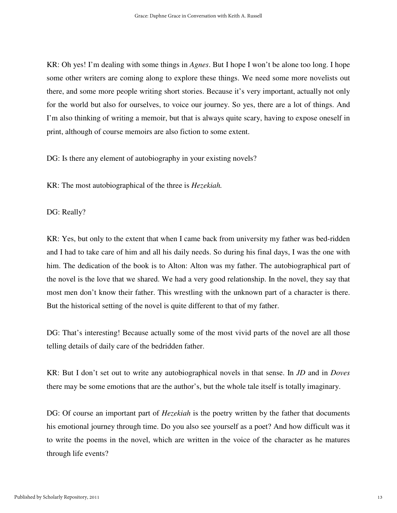KR: Oh yes! I'm dealing with some things in *Agnes*. But I hope I won't be alone too long. I hope some other writers are coming along to explore these things. We need some more novelists out there, and some more people writing short stories. Because it's very important, actually not only for the world but also for ourselves, to voice our journey. So yes, there are a lot of things. And I'm also thinking of writing a memoir, but that is always quite scary, having to expose oneself in print, although of course memoirs are also fiction to some extent.

DG: Is there any element of autobiography in your existing novels?

KR: The most autobiographical of the three is *Hezekiah.*

DG: Really?

KR: Yes, but only to the extent that when I came back from university my father was bed-ridden and I had to take care of him and all his daily needs. So during his final days, I was the one with him. The dedication of the book is to Alton: Alton was my father. The autobiographical part of the novel is the love that we shared. We had a very good relationship. In the novel, they say that most men don't know their father. This wrestling with the unknown part of a character is there. But the historical setting of the novel is quite different to that of my father.

DG: That's interesting! Because actually some of the most vivid parts of the novel are all those telling details of daily care of the bedridden father.

KR: But I don't set out to write any autobiographical novels in that sense. In *JD* and in *Doves* there may be some emotions that are the author's, but the whole tale itself is totally imaginary.

DG: Of course an important part of *Hezekiah* is the poetry written by the father that documents his emotional journey through time. Do you also see yourself as a poet? And how difficult was it to write the poems in the novel, which are written in the voice of the character as he matures through life events?